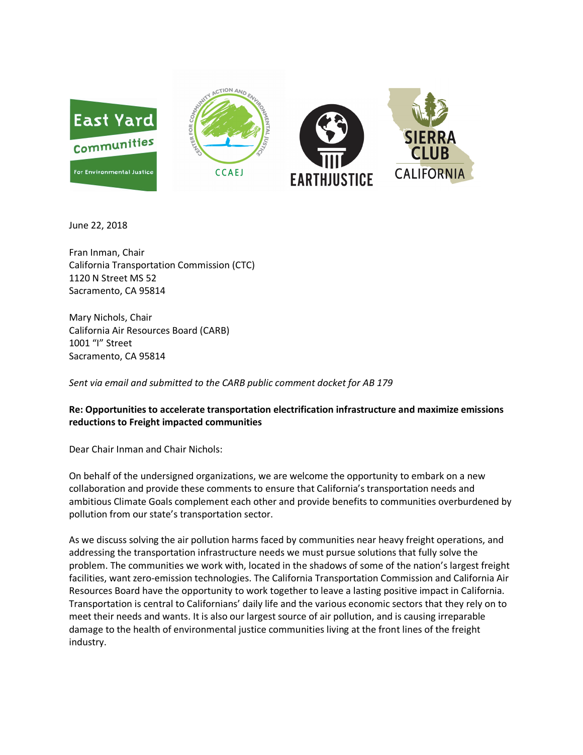

June 22, 2018

Fran Inman, Chair California Transportation Commission (CTC) 1120 N Street MS 52 Sacramento, CA 95814

Mary Nichols, Chair California Air Resources Board (CARB) 1001 "I" Street Sacramento, CA 95814

*Sent via email and submitted to the CARB public comment docket for AB 179*

## **Re: Opportunities to accelerate transportation electrification infrastructure and maximize emissions reductions to Freight impacted communities**

Dear Chair Inman and Chair Nichols:

On behalf of the undersigned organizations, we are welcome the opportunity to embark on a new collaboration and provide these comments to ensure that California's transportation needs and ambitious Climate Goals complement each other and provide benefits to communities overburdened by pollution from our state's transportation sector.

As we discuss solving the air pollution harms faced by communities near heavy freight operations, and addressing the transportation infrastructure needs we must pursue solutions that fully solve the problem. The communities we work with, located in the shadows of some of the nation's largest freight facilities, want zero-emission technologies. The California Transportation Commission and California Air Resources Board have the opportunity to work together to leave a lasting positive impact in California. Transportation is central to Californians' daily life and the various economic sectors that they rely on to meet their needs and wants. It is also our largest source of air pollution, and is causing irreparable damage to the health of environmental justice communities living at the front lines of the freight industry.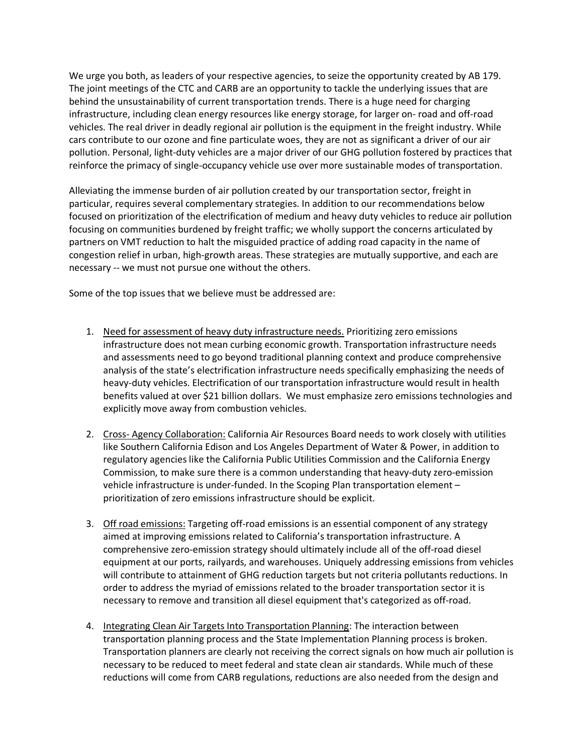We urge you both, as leaders of your respective agencies, to seize the opportunity created by AB 179. The joint meetings of the CTC and CARB are an opportunity to tackle the underlying issues that are behind the unsustainability of current transportation trends. There is a huge need for charging infrastructure, including clean energy resources like energy storage, for larger on- road and off-road vehicles. The real driver in deadly regional air pollution is the equipment in the freight industry. While cars contribute to our ozone and fine particulate woes, they are not as significant a driver of our air pollution. Personal, light-duty vehicles are a major driver of our GHG pollution fostered by practices that reinforce the primacy of single-occupancy vehicle use over more sustainable modes of transportation.

Alleviating the immense burden of air pollution created by our transportation sector, freight in particular, requires several complementary strategies. In addition to our recommendations below focused on prioritization of the electrification of medium and heavy duty vehicles to reduce air pollution focusing on communities burdened by freight traffic; we wholly support the concerns articulated by partners on VMT reduction to halt the misguided practice of adding road capacity in the name of congestion relief in urban, high-growth areas. These strategies are mutually supportive, and each are necessary -- we must not pursue one without the others.

Some of the top issues that we believe must be addressed are:

- 1. Need for assessment of heavy duty infrastructure needs. Prioritizing zero emissions infrastructure does not mean curbing economic growth. Transportation infrastructure needs and assessments need to go beyond traditional planning context and produce comprehensive analysis of the state's electrification infrastructure needs specifically emphasizing the needs of heavy-duty vehicles. Electrification of our transportation infrastructure would result in health benefits valued at over \$21 billion dollars. We must emphasize zero emissions technologies and explicitly move away from combustion vehicles.
- 2. Cross- Agency Collaboration: California Air Resources Board needs to work closely with utilities like Southern California Edison and Los Angeles Department of Water & Power, in addition to regulatory agencies like the California Public Utilities Commission and the California Energy Commission, to make sure there is a common understanding that heavy-duty zero-emission vehicle infrastructure is under-funded. In the Scoping Plan transportation element – prioritization of zero emissions infrastructure should be explicit.
- 3. Off road emissions: Targeting off-road emissions is an essential component of any strategy aimed at improving emissions related to California's transportation infrastructure. A comprehensive zero-emission strategy should ultimately include all of the off-road diesel equipment at our ports, railyards, and warehouses. Uniquely addressing emissions from vehicles will contribute to attainment of GHG reduction targets but not criteria pollutants reductions. In order to address the myriad of emissions related to the broader transportation sector it is necessary to remove and transition all diesel equipment that's categorized as off-road.
- 4. Integrating Clean Air Targets Into Transportation Planning: The interaction between transportation planning process and the State Implementation Planning process is broken. Transportation planners are clearly not receiving the correct signals on how much air pollution is necessary to be reduced to meet federal and state clean air standards. While much of these reductions will come from CARB regulations, reductions are also needed from the design and